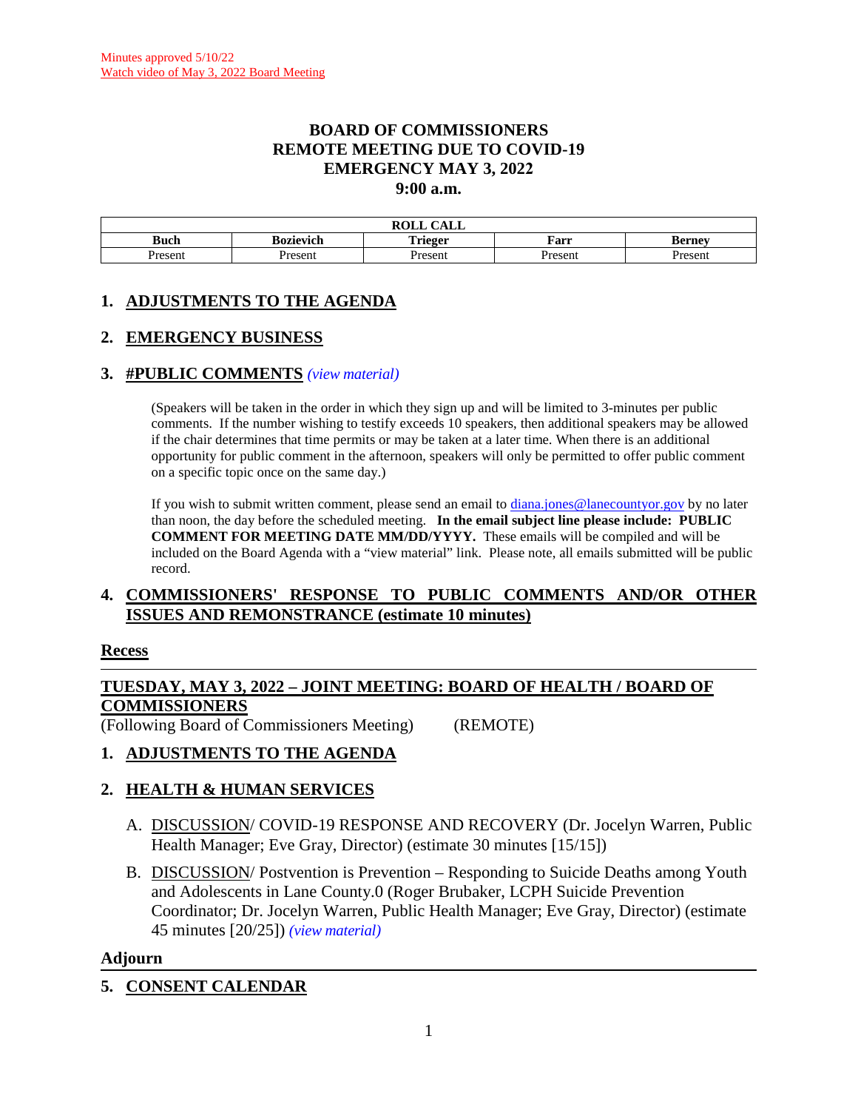#### **BOARD OF COMMISSIONERS REMOTE MEETING DUE TO COVID-19 EMERGENCY MAY 3, 2022 9:00 a.m.**

| $\sqrt{11}$<br><b>ROLL</b><br>САЫЛ |                  |                |         |               |  |  |
|------------------------------------|------------------|----------------|---------|---------------|--|--|
| <b>Buch</b>                        | <b>Bozievich</b> | <b>Trieger</b> | Farr    | <b>Berney</b> |  |  |
| Present                            | Present          | Present        | resent? | resent        |  |  |

## **1. ADJUSTMENTS TO THE AGENDA**

### **2. EMERGENCY BUSINESS**

#### **3. #PUBLIC COMMENTS** *(view [material\)](http://www.lanecountyor.gov/UserFiles/Servers/Server_3585797/File/Government/BCC/2022/2022_AGENDAS/050322agenda/T.3.pdf)*

(Speakers will be taken in the order in which they sign up and will be limited to 3-minutes per public comments. If the number wishing to testify exceeds 10 speakers, then additional speakers may be allowed if the chair determines that time permits or may be taken at a later time. When there is an additional opportunity for public comment in the afternoon, speakers will only be permitted to offer public comment on a specific topic once on the same day.)

If you wish to submit written comment, please send an email to [diana.jones@lanecountyor.gov](mailto:diana.jones@lanecountyor.gov) by no later than noon, the day before the scheduled meeting. **In the email subject line please include: PUBLIC COMMENT FOR MEETING DATE MM/DD/YYYY.** These emails will be compiled and will be included on the Board Agenda with a "view material" link. Please note, all emails submitted will be public record.

#### **4. COMMISSIONERS' RESPONSE TO PUBLIC COMMENTS AND/OR OTHER ISSUES AND REMONSTRANCE (estimate 10 minutes)**

#### **Recess**

### **TUESDAY, MAY 3, 2022 – JOINT MEETING: BOARD OF HEALTH / BOARD OF COMMISSIONERS**

(Following Board of Commissioners Meeting) (REMOTE)

## **1. ADJUSTMENTS TO THE AGENDA**

## **2. HEALTH & HUMAN SERVICES**

- A. DISCUSSION/ COVID-19 RESPONSE AND RECOVERY (Dr. Jocelyn Warren, Public Health Manager; Eve Gray, Director) (estimate 30 minutes [15/15])
- B. DISCUSSION/ Postvention is Prevention Responding to Suicide Deaths among Youth and Adolescents in Lane County.0 (Roger Brubaker, LCPH Suicide Prevention Coordinator; Dr. Jocelyn Warren, Public Health Manager; Eve Gray, Director) (estimate 45 minutes [20/25]) *(view [material\)](http://www.lanecountyor.gov/UserFiles/Servers/Server_3585797/File/Government/BCC/2022/2022_AGENDAS/050322agenda/T.2.B.pdf)*

#### **Adjourn**

## **5. CONSENT CALENDAR**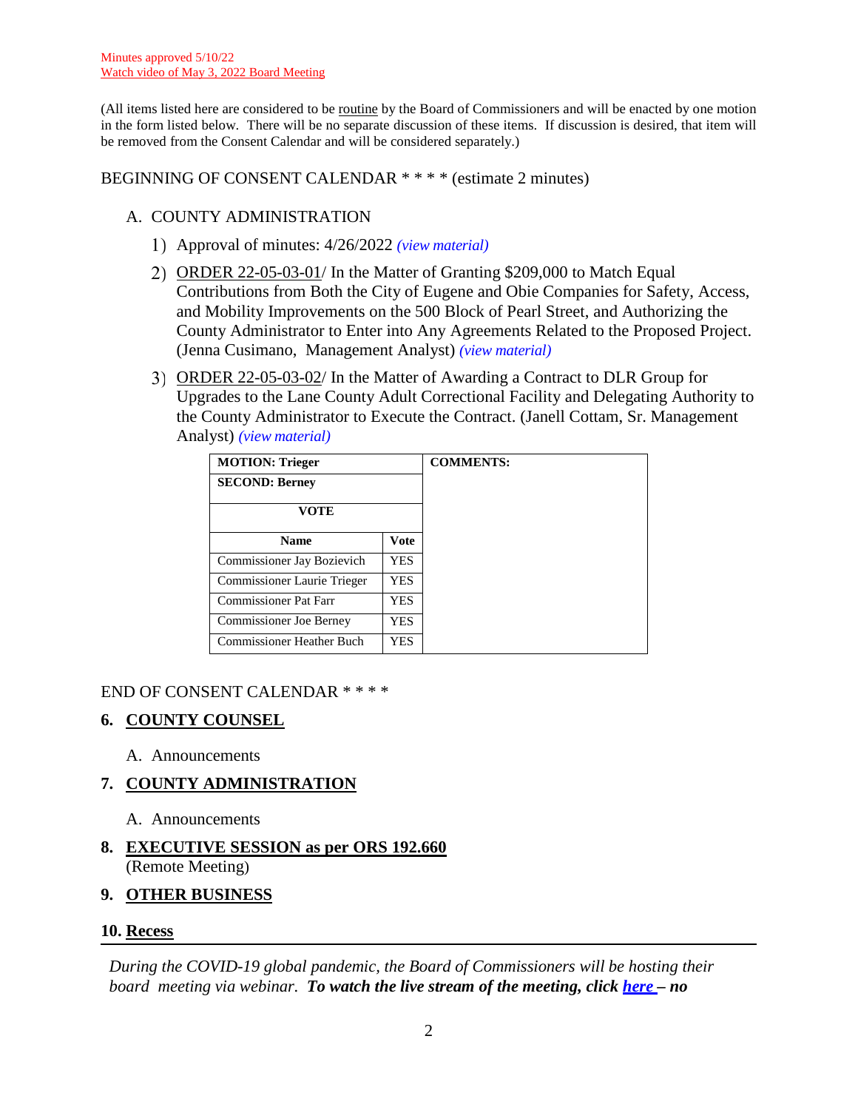(All items listed here are considered to be routine by the Board of Commissioners and will be enacted by one motion in the form listed below. There will be no separate discussion of these items. If discussion is desired, that item will be removed from the Consent Calendar and will be considered separately.)

BEGINNING OF CONSENT CALENDAR \* \* \* \* (estimate 2 minutes)

### A. COUNTY ADMINISTRATION

- Approval of minutes: 4/26/2022 *(view [material\)](http://www.lanecountyor.gov/UserFiles/Servers/Server_3585797/File/Government/BCC/2022/2022_AGENDAS/050322agenda/T.5.A.1.pdf)*
- ORDER 22-05-03-01/ In the Matter of Granting \$209,000 to Match Equal Contributions from Both the City of Eugene and Obie Companies for Safety, Access, and Mobility Improvements on the 500 Block of Pearl Street, and Authorizing the County Administrator to Enter into Any Agreements Related to the Proposed Project. (Jenna Cusimano, Management Analyst) *(view [material\)](http://www.lanecountyor.gov/UserFiles/Servers/Server_3585797/File/Government/BCC/2022/2022_AGENDAS/050322agenda/T.5.A.2.pdf)*
- ORDER 22-05-03-02/ In the Matter of Awarding a Contract to DLR Group for Upgrades to the Lane County Adult Correctional Facility and Delegating Authority to the County Administrator to Execute the Contract. (Janell Cottam, Sr. Management Analyst) *(view [material\)](http://www.lanecountyor.gov/UserFiles/Servers/Server_3585797/File/Government/BCC/2022/2022_AGENDAS/050322agenda/T.5.A.3.pdf)*

| <b>MOTION: Trieger</b>           |             |  |
|----------------------------------|-------------|--|
| <b>SECOND: Berney</b>            |             |  |
| VOTE                             |             |  |
| <b>Name</b>                      | <b>Vote</b> |  |
| Commissioner Jay Bozievich       | <b>YES</b>  |  |
| Commissioner Laurie Trieger      | <b>YES</b>  |  |
| Commissioner Pat Farr            | <b>YES</b>  |  |
| <b>Commissioner Joe Berney</b>   | YES.        |  |
| <b>Commissioner Heather Buch</b> | <b>YES</b>  |  |

#### END OF CONSENT CALENDAR \* \* \* \*

## **6. COUNTY COUNSEL**

A. Announcements

#### **7. COUNTY ADMINISTRATION**

- A. Announcements
- **8. EXECUTIVE SESSION as per ORS 192.660** (Remote Meeting)

#### **9. OTHER BUSINESS**

#### **10. Recess**

*During the COVID-19 global pandemic, the Board of Commissioners will be hosting their board meeting via webinar. To watch the live stream of the meeting, click [here](https://lanecounty.org/cms/One.aspx?portalId=3585881&pageId=7842434) – no*